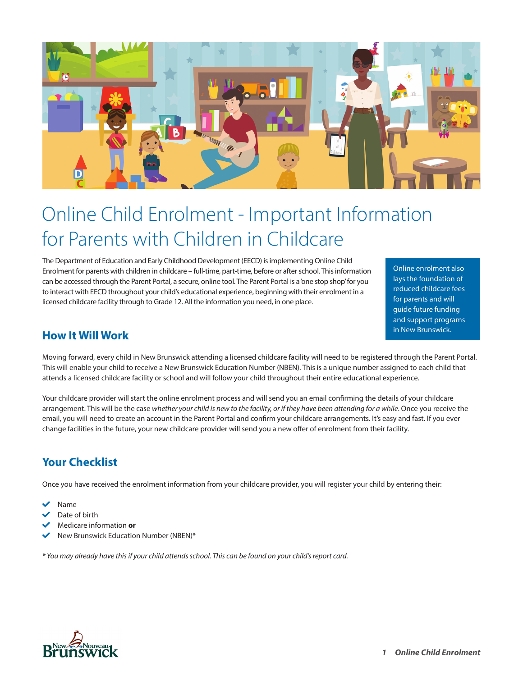

# Online Child Enrolment - Important Information for Parents with Children in Childcare

The Department of Education and Early Childhood Development (EECD) is implementing Online Child Enrolment for parents with children in childcare – full-time, part-time, before or after school. This information can be accessed through the Parent Portal, a secure, online tool. The Parent Portal is a 'one stop shop' for you to interact with EECD throughout your child's educational experience, beginning with their enrolment in a licensed childcare facility through to Grade 12. All the information you need, in one place.

Online enrolment also lays the foundation of reduced childcare fees for parents and will guide future funding and support programs in New Brunswick.

#### **How It Will Work**

Moving forward, every child in New Brunswick attending a licensed childcare facility will need to be registered through the Parent Portal. This will enable your child to receive a New Brunswick Education Number (NBEN). This is a unique number assigned to each child that attends a licensed childcare facility or school and will follow your child throughout their entire educational experience.

Your childcare provider will start the online enrolment process and will send you an email confirming the details of your childcare arrangement. This will be the case whether your child is new to the facility, or if they have been attending for a while. Once you receive the email, you will need to create an account in the Parent Portal and confirm your childcare arrangements. It's easy and fast. If you ever change facilities in the future, your new childcare provider will send you a new offer of enrolment from their facility.

# **Your Checklist**

Once you have received the enrolment information from your childcare provider, you will register your child by entering their:

- Name
- Date of birth
- **Medicare information or**
- New Brunswick Education Number (NBEN)\*

*\* You may already have this if your child attends school. This can be found on your child's report card.*